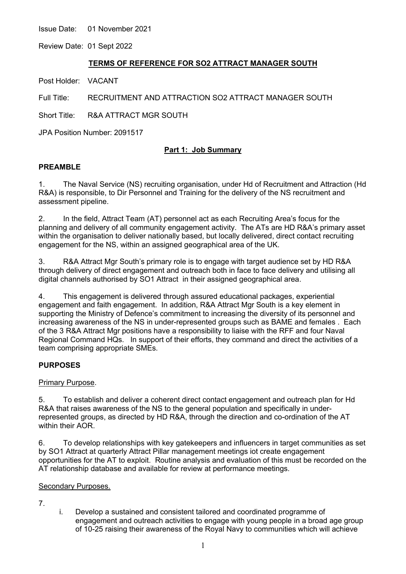Issue Date: 01 November 2021

Review Date: 01 Sept 2022

## **TERMS OF REFERENCE FOR SO2 ATTRACT MANAGER SOUTH**

Post Holder: VACANT

Full Title: RECRUITMENT AND ATTRACTION SO2 ATTRACT MANAGER SOUTH

Short Title: R&A ATTRACT MGR SOUTH

JPA Position Number: 2091517

# **Part 1: Job Summary**

### **PREAMBLE**

1. The Naval Service (NS) recruiting organisation, under Hd of Recruitment and Attraction (Hd R&A) is responsible, to Dir Personnel and Training for the delivery of the NS recruitment and assessment pipeline.

2. In the field, Attract Team (AT) personnel act as each Recruiting Area's focus for the planning and delivery of all community engagement activity. The ATs are HD R&A's primary asset within the organisation to deliver nationally based, but locally delivered, direct contact recruiting engagement for the NS, within an assigned geographical area of the UK.

3. R&A Attract Mgr South's primary role is to engage with target audience set by HD R&A through delivery of direct engagement and outreach both in face to face delivery and utilising all digital channels authorised by SO1 Attract in their assigned geographical area.

4. This engagement is delivered through assured educational packages, experiential engagement and faith engagement. In addition, R&A Attract Mgr South is a key element in supporting the Ministry of Defence's commitment to increasing the diversity of its personnel and increasing awareness of the NS in under-represented groups such as BAME and females . Each of the 3 R&A Attract Mgr positions have a responsibility to liaise with the RFF and four Naval Regional Command HQs. In support of their efforts, they command and direct the activities of a team comprising appropriate SMEs.

# **PURPOSES**

### Primary Purpose.

5. To establish and deliver a coherent direct contact engagement and outreach plan for Hd R&A that raises awareness of the NS to the general population and specifically in underrepresented groups, as directed by HD R&A, through the direction and co-ordination of the AT within their AOR.

6. To develop relationships with key gatekeepers and influencers in target communities as set by SO1 Attract at quarterly Attract Pillar management meetings iot create engagement opportunities for the AT to exploit. Routine analysis and evaluation of this must be recorded on the AT relationship database and available for review at performance meetings.

### Secondary Purposes.

- 7.
- i. Develop a sustained and consistent tailored and coordinated programme of engagement and outreach activities to engage with young people in a broad age group of 10-25 raising their awareness of the Royal Navy to communities which will achieve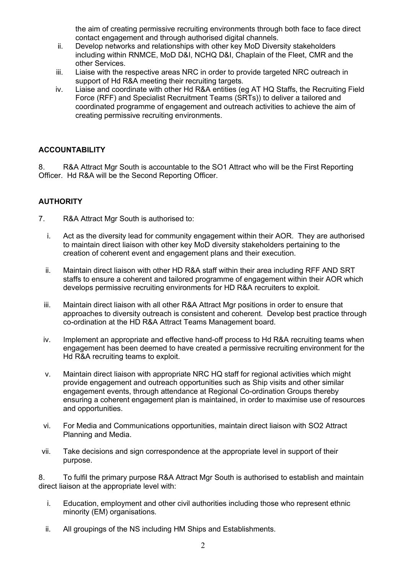the aim of creating permissive recruiting environments through both face to face direct contact engagement and through authorised digital channels.

- ii. Develop networks and relationships with other key MoD Diversity stakeholders including within RNMCE, MoD D&I, NCHQ D&I, Chaplain of the Fleet, CMR and the other Services.
- iii. Liaise with the respective areas NRC in order to provide targeted NRC outreach in support of Hd R&A meeting their recruiting targets.
- iv. Liaise and coordinate with other Hd R&A entities (eg AT HQ Staffs, the Recruiting Field Force (RFF) and Specialist Recruitment Teams (SRTs)) to deliver a tailored and coordinated programme of engagement and outreach activities to achieve the aim of creating permissive recruiting environments.

# **ACCOUNTABILITY**

8. R&A Attract Mgr South is accountable to the SO1 Attract who will be the First Reporting Officer. Hd R&A will be the Second Reporting Officer.

# **AUTHORITY**

- 7. R&A Attract Mgr South is authorised to:
	- i. Act as the diversity lead for community engagement within their AOR. They are authorised to maintain direct liaison with other key MoD diversity stakeholders pertaining to the creation of coherent event and engagement plans and their execution.
	- ii. Maintain direct liaison with other HD R&A staff within their area including RFF AND SRT staffs to ensure a coherent and tailored programme of engagement within their AOR which develops permissive recruiting environments for HD R&A recruiters to exploit.
	- iii. Maintain direct liaison with all other R&A Attract Mgr positions in order to ensure that approaches to diversity outreach is consistent and coherent. Develop best practice through co-ordination at the HD R&A Attract Teams Management board.
	- iv. Implement an appropriate and effective hand-off process to Hd R&A recruiting teams when engagement has been deemed to have created a permissive recruiting environment for the Hd R&A recruiting teams to exploit.
	- v. Maintain direct liaison with appropriate NRC HQ staff for regional activities which might provide engagement and outreach opportunities such as Ship visits and other similar engagement events, through attendance at Regional Co-ordination Groups thereby ensuring a coherent engagement plan is maintained, in order to maximise use of resources and opportunities.
	- vi. For Media and Communications opportunities, maintain direct liaison with SO2 Attract Planning and Media.
- vii. Take decisions and sign correspondence at the appropriate level in support of their purpose.

8. To fulfil the primary purpose R&A Attract Mgr South is authorised to establish and maintain direct liaison at the appropriate level with:

- i. Education, employment and other civil authorities including those who represent ethnic minority (EM) organisations.
- ii. All groupings of the NS including HM Ships and Establishments.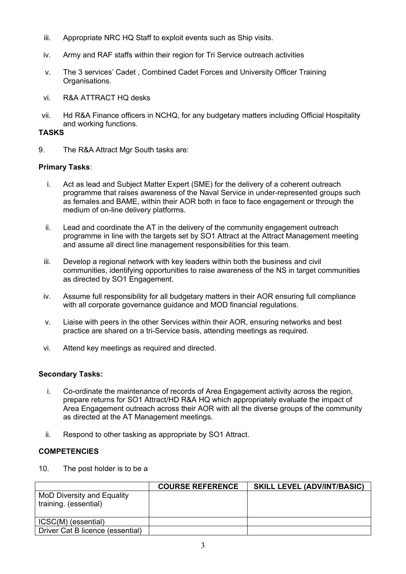- iii. Appropriate NRC HQ Staff to exploit events such as Ship visits.
- iv. Army and RAF staffs within their region for Tri Service outreach activities
- v. The 3 services' Cadet , Combined Cadet Forces and University Officer Training Organisations.
- vi. R&A ATTRACT HQ desks
- vii. Hd R&A Finance officers in NCHQ, for any budgetary matters including Official Hospitality and working functions.

## **TASKS**

9. The R&A Attract Mgr South tasks are:

### **Primary Tasks**:

- i. Act as lead and Subject Matter Expert (SME) for the delivery of a coherent outreach programme that raises awareness of the Naval Service in under-represented groups such as females and BAME, within their AOR both in face to face engagement or through the medium of on-line delivery platforms.
- ii. Lead and coordinate the AT in the delivery of the community engagement outreach programme in line with the targets set by SO1 Attract at the Attract Management meeting and assume all direct line management responsibilities for this team.
- iii. Develop a regional network with key leaders within both the business and civil communities, identifying opportunities to raise awareness of the NS in target communities as directed by SO1 Engagement.
- iv. Assume full responsibility for all budgetary matters in their AOR ensuring full compliance with all corporate governance guidance and MOD financial regulations.
- v. Liaise with peers in the other Services within their AOR, ensuring networks and best practice are shared on a tri-Service basis, attending meetings as required.
- vi. Attend key meetings as required and directed.

### **Secondary Tasks:**

- i. Co-ordinate the maintenance of records of Area Engagement activity across the region, prepare returns for SO1 Attract/HD R&A HQ which appropriately evaluate the impact of Area Engagement outreach across their AOR with all the diverse groups of the community as directed at the AT Management meetings.
- ii. Respond to other tasking as appropriate by SO1 Attract.

# **COMPETENCIES**

10. The post holder is to be a

|                                                     | <b>COURSE REFERENCE</b> | <b>SKILL LEVEL (ADV/INT/BASIC)</b> |
|-----------------------------------------------------|-------------------------|------------------------------------|
| MoD Diversity and Equality<br>training. (essential) |                         |                                    |
| ICSC(M) (essential)                                 |                         |                                    |
| Driver Cat B licence (essential)                    |                         |                                    |